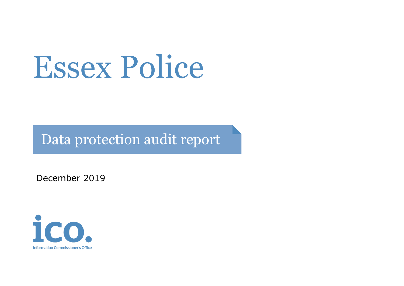# Essex Police

Data protection audit report

December 2019

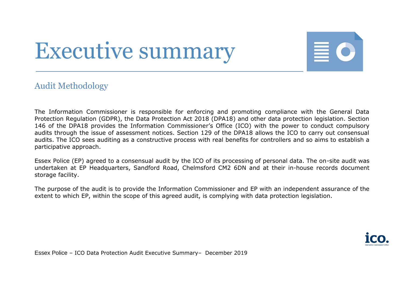## Executive summary



#### Audit Methodology

The Information Commissioner is responsible for enforcing and promoting compliance with the General Data Protection Regulation (GDPR), the Data Protection Act 2018 (DPA18) and other data protection legislation. Section 146 of the DPA18 provides the Information Commissioner's Office (ICO) with the power to conduct compulsory audits through the issue of assessment notices. Section 129 of the DPA18 allows the ICO to carry out consensual audits. The ICO sees auditing as a constructive process with real benefits for controllers and so aims to establish a participative approach.

Essex Police (EP) agreed to a consensual audit by the ICO of its processing of personal data. The on-site audit was undertaken at EP Headquarters, Sandford Road, Chelmsford CM2 6DN and at their in-house records document storage facility.

The purpose of the audit is to provide the Information Commissioner and EP with an independent assurance of the extent to which EP, within the scope of this agreed audit, is complying with data protection legislation.

Essex Police – ICO Data Protection Audit Executive Summary– December 2019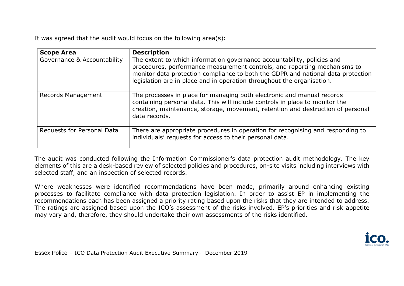It was agreed that the audit would focus on the following area(s):

| <b>Scope Area</b>           | <b>Description</b>                                                                                                                                                                                                                                                                                                 |  |
|-----------------------------|--------------------------------------------------------------------------------------------------------------------------------------------------------------------------------------------------------------------------------------------------------------------------------------------------------------------|--|
| Governance & Accountability | The extent to which information governance accountability, policies and<br>procedures, performance measurement controls, and reporting mechanisms to<br>monitor data protection compliance to both the GDPR and national data protection<br>legislation are in place and in operation throughout the organisation. |  |
| <b>Records Management</b>   | The processes in place for managing both electronic and manual records<br>containing personal data. This will include controls in place to monitor the<br>creation, maintenance, storage, movement, retention and destruction of personal<br>data records.                                                         |  |
| Requests for Personal Data  | There are appropriate procedures in operation for recognising and responding to<br>individuals' requests for access to their personal data.                                                                                                                                                                        |  |

The audit was conducted following the Information Commissioner's data protection audit methodology. The key elements of this are a desk-based review of selected policies and procedures, on-site visits including interviews with selected staff, and an inspection of selected records.

Where weaknesses were identified recommendations have been made, primarily around enhancing existing processes to facilitate compliance with data protection legislation. In order to assist EP in implementing the recommendations each has been assigned a priority rating based upon the risks that they are intended to address. The ratings are assigned based upon the ICO's assessment of the risks involved. EP's priorities and risk appetite may vary and, therefore, they should undertake their own assessments of the risks identified.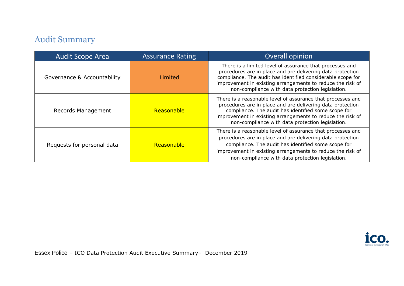### Audit Summary

| <b>Audit Scope Area</b>     | <b>Assurance Rating</b> | Overall opinion                                                                                                                                                                                                                                                                                         |
|-----------------------------|-------------------------|---------------------------------------------------------------------------------------------------------------------------------------------------------------------------------------------------------------------------------------------------------------------------------------------------------|
| Governance & Accountability | Limited                 | There is a limited level of assurance that processes and<br>procedures are in place and are delivering data protection<br>compliance. The audit has identified considerable scope for<br>improvement in existing arrangements to reduce the risk of<br>non-compliance with data protection legislation. |
| Records Management          | Reasonable              | There is a reasonable level of assurance that processes and<br>procedures are in place and are delivering data protection<br>compliance. The audit has identified some scope for<br>improvement in existing arrangements to reduce the risk of<br>non-compliance with data protection legislation.      |
| Requests for personal data  | Reasonable              | There is a reasonable level of assurance that processes and<br>procedures are in place and are delivering data protection<br>compliance. The audit has identified some scope for<br>improvement in existing arrangements to reduce the risk of<br>non-compliance with data protection legislation.      |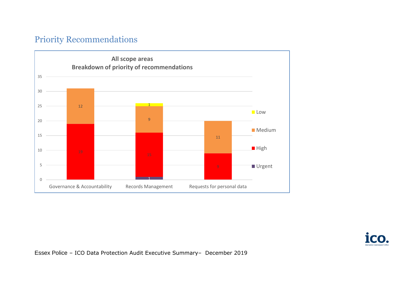#### Priority Recommendations



Essex Police – ICO Data Protection Audit Executive Summary– December 2019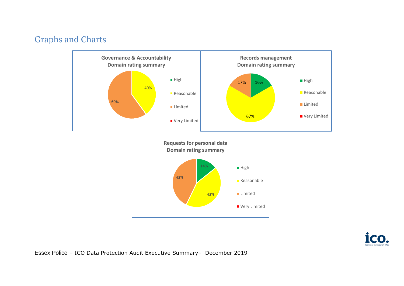#### Graphs and Charts



**ICC** 

Essex Police – ICO Data Protection Audit Executive Summary– December 2019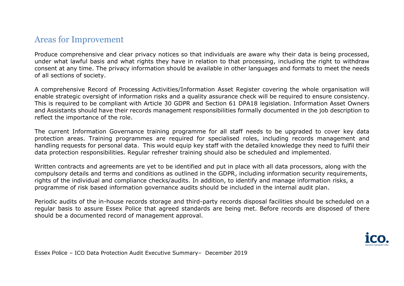#### Areas for Improvement

Produce comprehensive and clear privacy notices so that individuals are aware why their data is being processed, under what lawful basis and what rights they have in relation to that processing, including the right to withdraw consent at any time. The privacy information should be available in other languages and formats to meet the needs of all sections of society.

A comprehensive Record of Processing Activities/Information Asset Register covering the whole organisation will enable strategic oversight of information risks and a quality assurance check will be required to ensure consistency. This is required to be compliant with Article 30 GDPR and Section 61 DPA18 legislation. Information Asset Owners and Assistants should have their records management responsibilities formally documented in the job description to reflect the importance of the role.

The current Information Governance training programme for all staff needs to be upgraded to cover key data protection areas. Training programmes are required for specialised roles, including records management and handling requests for personal data. This would equip key staff with the detailed knowledge they need to fulfil their data protection responsibilities. Regular refresher training should also be scheduled and implemented.

Written contracts and agreements are yet to be identified and put in place with all data processors, along with the compulsory details and terms and conditions as outlined in the GDPR, including information security requirements, rights of the individual and compliance checks/audits. In addition, to identify and manage information risks, a programme of risk based information governance audits should be included in the internal audit plan.

Periodic audits of the in-house records storage and third-party records disposal facilities should be scheduled on a regular basis to assure Essex Police that agreed standards are being met. Before records are disposed of there should be a documented record of management approval.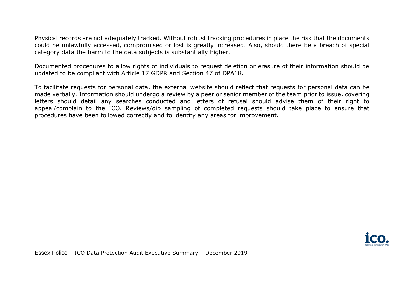Physical records are not adequately tracked. Without robust tracking procedures in place the risk that the documents could be unlawfully accessed, compromised or lost is greatly increased. Also, should there be a breach of special category data the harm to the data subjects is substantially higher.

Documented procedures to allow rights of individuals to request deletion or erasure of their information should be updated to be compliant with Article 17 GDPR and Section 47 of DPA18.

To facilitate requests for personal data, the external website should reflect that requests for personal data can be made verbally. Information should undergo a review by a peer or senior member of the team prior to issue, covering letters should detail any searches conducted and letters of refusal should advise them of their right to appeal/complain to the ICO. Reviews/dip sampling of completed requests should take place to ensure that procedures have been followed correctly and to identify any areas for improvement.